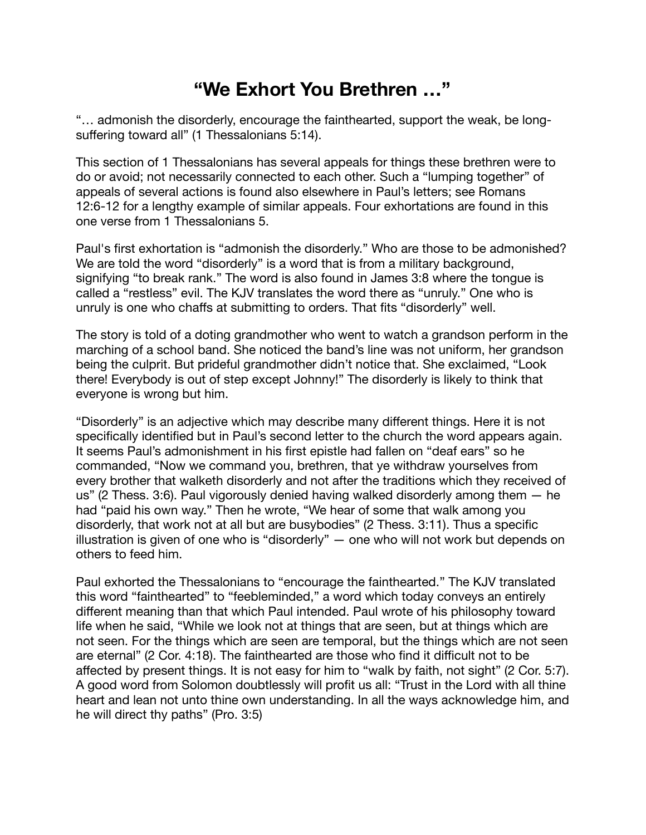## **"We Exhort You Brethren …"**

"… admonish the disorderly, encourage the fainthearted, support the weak, be longsuffering toward all" (1 Thessalonians 5:14).

This section of 1 Thessalonians has several appeals for things these brethren were to do or avoid; not necessarily connected to each other. Such a "lumping together" of appeals of several actions is found also elsewhere in Paul's letters; see Romans 12:6-12 for a lengthy example of similar appeals. Four exhortations are found in this one verse from 1 Thessalonians 5.

Paul's first exhortation is "admonish the disorderly." Who are those to be admonished? We are told the word "disorderly" is a word that is from a military background, signifying "to break rank." The word is also found in James 3:8 where the tongue is called a "restless" evil. The KJV translates the word there as "unruly." One who is unruly is one who chaffs at submitting to orders. That fits "disorderly" well.

The story is told of a doting grandmother who went to watch a grandson perform in the marching of a school band. She noticed the band's line was not uniform, her grandson being the culprit. But prideful grandmother didn't notice that. She exclaimed, "Look there! Everybody is out of step except Johnny!" The disorderly is likely to think that everyone is wrong but him.

"Disorderly" is an adjective which may describe many different things. Here it is not specifically identified but in Paul's second letter to the church the word appears again. It seems Paul's admonishment in his first epistle had fallen on "deaf ears" so he commanded, "Now we command you, brethren, that ye withdraw yourselves from every brother that walketh disorderly and not after the traditions which they received of us" (2 Thess. 3:6). Paul vigorously denied having walked disorderly among them — he had "paid his own way." Then he wrote, "We hear of some that walk among you disorderly, that work not at all but are busybodies" (2 Thess. 3:11). Thus a specific illustration is given of one who is "disorderly" — one who will not work but depends on others to feed him.

Paul exhorted the Thessalonians to "encourage the fainthearted." The KJV translated this word "fainthearted" to "feebleminded," a word which today conveys an entirely different meaning than that which Paul intended. Paul wrote of his philosophy toward life when he said, "While we look not at things that are seen, but at things which are not seen. For the things which are seen are temporal, but the things which are not seen are eternal" (2 Cor. 4:18). The fainthearted are those who find it difficult not to be affected by present things. It is not easy for him to "walk by faith, not sight" (2 Cor. 5:7). A good word from Solomon doubtlessly will profit us all: "Trust in the Lord with all thine heart and lean not unto thine own understanding. In all the ways acknowledge him, and he will direct thy paths" (Pro. 3:5)